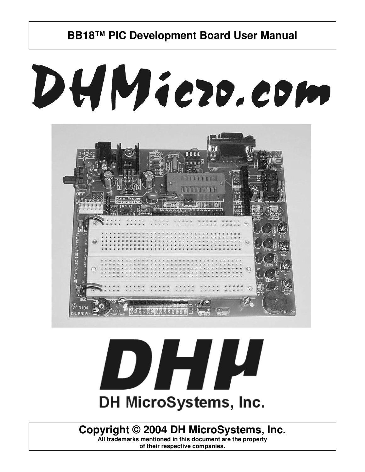# DHMiezo.com





## **Copyright © 2004 DH MicroSystems, Inc.**

**All trademarks mentioned in this document are the property of their respective companies.**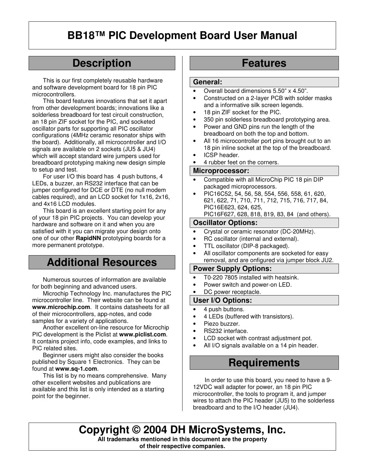## **Description**

This is our first completely reusable hardware and software development board for 18 pin PIC microcontrollers.

This board features innovations that set it apart from other development boards; innovations like a solderless breadboard for test circuit construction, an 18 pin ZIF socket for the PIC, and socketed oscillator parts for supporting all PIC oscillator configurations (4MHz ceramic resonator ships with the board). Additionally, all microcontroller and I/O signals are available on 2 sockets (JU5 & JU4) which will accept standard wire jumpers used for breadboard prototyping making new design simple to setup and test.

For user I/O this board has 4 push buttons, 4 LEDs, a buzzer, an RS232 interface that can be jumper configured for DCE or DTE (no null modem cables required), and an LCD socket for 1x16, 2x16, and 4x16 LCD modules.

This board is an excellent starting point for any of your 18 pin PIC projects. You can develop your hardware and software on it and when you are satisfied with it you can migrate your design onto one of our other **RapidNN** prototyping boards for a more permanent prototype.

## **Additional Resources**

Numerous sources of information are available for both beginning and advanced users.

Microchip Technology Inc. manufactures the PIC microcontroller line. Their website can be found at **www.microchip.com**. It contains datasheets for all of their microcontrollers, app-notes, and code samples for a variety of applications.

Another excellent on-line resource for Microchip PIC development is the Piclist at **www.piclist.com**. It contains project info, code examples, and links to PIC related sites.

Beginner users might also consider the books published by Square 1 Electronics. They can be found at **www.sq-1.com**.

This list is by no means comprehensive. Many other excellent websites and publications are available and this list is only intended as a starting point for the beginner.

## **Features**

#### **General:**

- Overall board dimensions 5.50" x 4.50".
- Constructed on a 2-layer PCB with solder masks and a informative silk screen legends.
- 18 pin ZIF socket for the PIC.
- 350 pin solderless breadboard prototyping area.
- Power and GND pins run the length of the breadboard on both the top and bottom.
- All 16 microcontroller port pins brought out to an 18 pin inline socket at the top of the breadboard.
- ICSP header.
- 4 rubber feet on the corners.

#### **Microprocessor:**

- Compatible with all MicroChip PIC 18 pin DIP packaged microprocessors.
- PIC16C52, 54, 56, 58, 554, 556, 558, 61, 620, 621, 622, 71, 710, 711, 712, 715, 716, 717, 84, PIC16E623, 624, 625, PIC16F627, 628, 818, 819, 83, 84 (and others).

#### **Oscillator Options:**

- Crystal or ceramic resonator (DC-20MHz).
- RC oscillator (internal and external).
- TTL oscillator (DIP-8 packaged).
- All oscillator components are socketed for easy removal, and are onfigured via jumper block JU2.

#### **Power Supply Options:**

- T0-220 7805 installed with heatsink.
- Power switch and power-on LED.
- DC power receptacle.

#### **User I/O Options:**

- 4 push buttons.
- 4 LEDs (buffered with transistors).
- Piezo buzzer.
- RS232 interface.
- LCD socket with contrast adjustment pot.
- All I/O signals available on a 14 pin header.

## **Requirements**

 In order to use this board, you need to have a 9- 12VDC wall adapter for power, an 18 pin PIC microcontroller, the tools to program it, and jumper wires to attach the PIC header (JU5) to the solderless breadboard and to the I/O header (JU4).

**Copyright © 2004 DH MicroSystems, Inc. All trademarks mentioned in this document are the property of their respective companies.**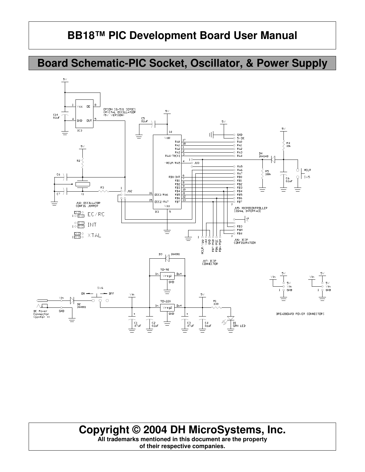## **Board Schematic-PIC Socket, Oscillator, & Power Supply**



## **Copyright © 2004 DH MicroSystems, Inc.**

**All trademarks mentioned in this document are the property of their respective companies.**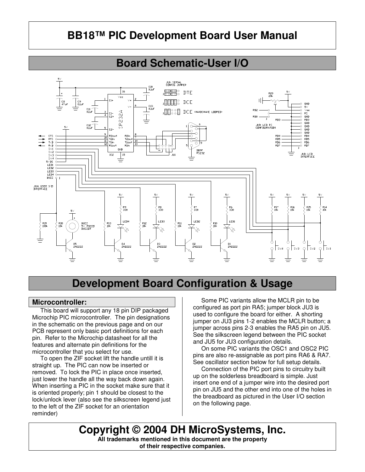## **Board Schematic-User I/O**



## **Development Board Configuration & Usage**

#### **Microcontroller:**

This board will support any 18 pin DIP packaged Microchip PIC microcontroller. The pin designations in the schematic on the previous page and on our PCB represent only basic port definitions for each pin. Refer to the Microchip datasheet for all the features and alternate pin definitions for the microcontroller that you select for use.

 To open the ZIF socket lift the handle untill it is straight up. The PIC can now be inserted or removed. To lock the PIC in place once inserted, just lower the handle all the way back down again. When inserting a PIC in the socket make sure that it is oriented properly; pin 1 should be closest to the lock/unlock lever (also see the silkscreen legend just to the left of the ZIF socket for an orientation reminder)

 Some PIC variants allow the MCLR pin to be configured as port pin RA5; jumper block JU3 is used to configure the board for either. A shorting jumper on JU3 pins 1-2 enables the MCLR button; a jumper across pins 2-3 enables the RA5 pin on JU5. See the silkscreen legend between the PIC socket and JU5 for JU3 configuration details.

 On some PIC variants the OSC1 and OSC2 PIC pins are also re-assignable as port pins RA6 & RA7. See oscillator section below for full setup details.

 Connection of the PIC port pins to circuitry built up on the solderless breadboard is simple. Just insert one end of a jumper wire into the desired port pin on JU5 and the other end into one of the holes in the breadboard as pictured in the User I/O section on the following page.

**Copyright © 2004 DH MicroSystems, Inc. All trademarks mentioned in this document are the property of their respective companies.**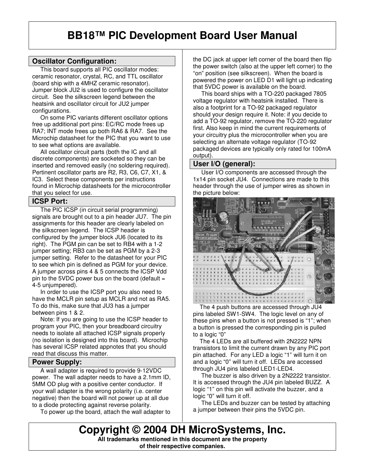#### **Oscillator Configuration:**

 This board supports all PIC oscillator modes: ceramic resonator, crystal, RC, and TTL oscillator (board ship with a 4MHZ ceramic resonator). Jumper block JU2 is used to configure the oscillator circuit. See the silkscreen legend between the heatsink and oscillator circuit for JU2 jumper configurations.

 On some PIC variants different oscillator options free up additional port pins: EC/RC mode frees up RA7; INT mode frees up both RA6 & RA7. See the Microchip datasheet for the PIC that you want to use to see what options are available.

 All oscillator circuit parts (both the IC and all discrete components) are socketed so they can be inserted and removed easily (no soldering required). Pertinent oscillator parts are R2, R3, C6, C7, X1, & IC3. Select these components per instructions found in Microchip datasheets for the microcontroller that you select for use.

#### **ICSP Port:**

 The PIC ICSP (in circuit serial programming) signals are brought out to a pin header JU7. The pin assignments for this header are clearly labeled on the silkscreen legend. The ICSP header is configured by the jumper block JU6 (located to its right). The PGM pin can be set to RB4 with a 1-2 jumper setting; RB3 can be set as PGM by a 2-3 jumper setting. Refer to the datasheet for your PIC to see which pin is defined as PGM for your device. A jumper across pins 4 & 5 connects the ICSP Vdd pin to the 5VDC power bus on the board (default  $=$ 4-5 unjumpered).

 In order to use the ICSP port you also need to have the MCLR pin setup as MCLR and not as RA5. To do this, make sure that JU3 has a jumper between pins 1 & 2.

 Note: If you are going to use the ICSP header to program your PIC, then your breadboard circuitry needs to isolate all attached ICSP signals properly (no isolation is designed into this board). Microchip has several ICSP related appnotes that you should read that discuss this matter.

#### **Power Supply:**

 A wall adapter is required to provide 9-12VDC power. The wall adapter needs to have a 2.1mm ID, 5MM OD plug with a positive center conductor. If your wall adapter is the wrong polarity (i.e. center negative) then the board will not power up at all due to a diode protecting against reverse polarity.

To power up the board, attach the wall adapter to

the DC jack at upper left corner of the board then flip the power switch (also at the upper left corner) to the "on" position (see silkscreen). When the board is powered the power on LED D1 will light up indicating that 5VDC power is available on the board.

 This board ships with a TO-220 packaged 7805 voltage regulator with heatsink installed. There is also a footprint for a TO-92 packaged regulator should your design require it. Note: if you decide to add a TO-92 regulator, remove the TO-220 regulator first. Also keep in mind the current requirements of your circuitry plus the microcontroller when you are selecting an alternate voltage regulator (TO-92 packaged devices are typically only rated for 100mA output).

#### **User I/O (general):**

 User I/O components are accessed through the 1x14 pin socket JU4. Connections are made to this header through the use of jumper wires as shown in the picture below:



 The 4 push buttons are accessed through JU4 pins labeled SW1-SW4. The logic level on any of these pins when a button is not pressed is "1"; when a button is pressed the corresponding pin is pulled to a logic "0"

 The 4 LEDs are all buffered with 2N2222 NPN transistors to limit the current drawn by any PIC port pin attached. For any LED a logic "1" will turn it on and a logic "0" will turn it off. LEDs are accessed through JU4 pins labeled LED1-LED4.

 The buzzer is also driven by a 2N2222 transistor. It is accessed through the JU4 pin labeled BUZZ. A logic "1" on this pin will activate the buzzer, and a logic "0" will turn it off.

 The LEDs and buzzer can be tested by attaching a jumper between their pins the 5VDC pin.

**Copyright © 2004 DH MicroSystems, Inc. All trademarks mentioned in this document are the property**

**of their respective companies.**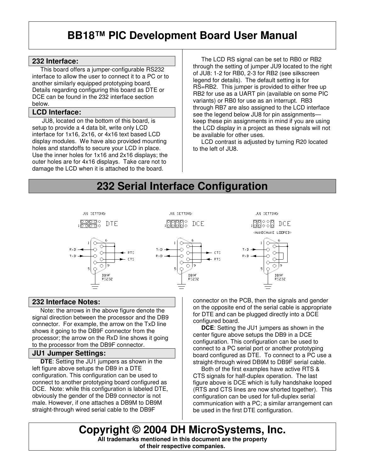#### **232 Interface:**

 This board offers a jumper-configurable RS232 interface to allow the user to connect it to a PC or to another similarly equipped prototyping board. Details regarding configuring this board as DTE or DCE can be found in the 232 interface section below.

#### **LCD Interface:**

 JU8, located on the bottom of this board, is setup to provide a 4 data bit, write only LCD interface for 1x16, 2x16, or 4x16 text based LCD display modules. We have also provided mounting holes and standoffs to secure your LCD in place. Use the inner holes for 1x16 and 2x16 displays; the outer holes are for 4x16 displays. Take care not to damage the LCD when it is attached to the board.

 The LCD RS signal can be set to RB0 or RB2 through the setting of jumper JU9 located to the right of JU8: 1-2 for RB0, 2-3 for RB2 (see silkscreen legend for details). The default setting is for RS=RB2. This jumper is provided to either free up RB2 for use as a UART pin (available on some PIC variants) or RB0 for use as an interrupt. RB3 through RB7 are also assigned to the LCD interface see the legend below JU8 for pin assignments keep these pin assignments in mind if you are using the LCD display in a project as these signals will not be available for other uses.

 LCD contrast is adjusted by turning R20 located to the left of JU8.

## **232 Serial Interface Configuration**



#### **232 Interface Notes:**

 Note: the arrows in the above figure denote the signal direction between the processor and the DB9 connector. For example, the arrow on the TxD line shows it going to the DB9F connector from the processor; the arrow on the RxD line shows it going to the processor from the DB9F connector.

#### **JU1 Jumper Settings:**

 **DTE**: Setting the JU1 jumpers as shown in the left figure above setups the DB9 in a DTE configuration. This configuration can be used to connect to another prototyping board configured as DCE. Note: while this configuration is labeled DTE, obviously the gender of the DB9 connector is not male. However, if one attaches a DB9M to DB9M straight-through wired serial cable to the DB9F

connector on the PCB, then the signals and gender on the opposite end of the serial cable is appropriate for DTE and can be plugged directly into a DCE configured board.

 **DCE**: Setting the JU1 jumpers as shown in the center figure above setups the DB9 in a DCE configuration. This configuration can be used to connect to a PC serial port or another prototyping board configured as DTE. To connect to a PC use a straight-through wired DB9M to DB9F serial cable.

 Both of the first examples have active RTS & CTS signals for half-duplex operation. The last figure above is DCE which is fully handshake looped (RTS and CTS lines are now shorted together). This configuration can be used for full-duplex serial communication with a PC; a similar arrangement can be used in the first DTE configuration.

**Copyright © 2004 DH MicroSystems, Inc. All trademarks mentioned in this document are the property of their respective companies.**